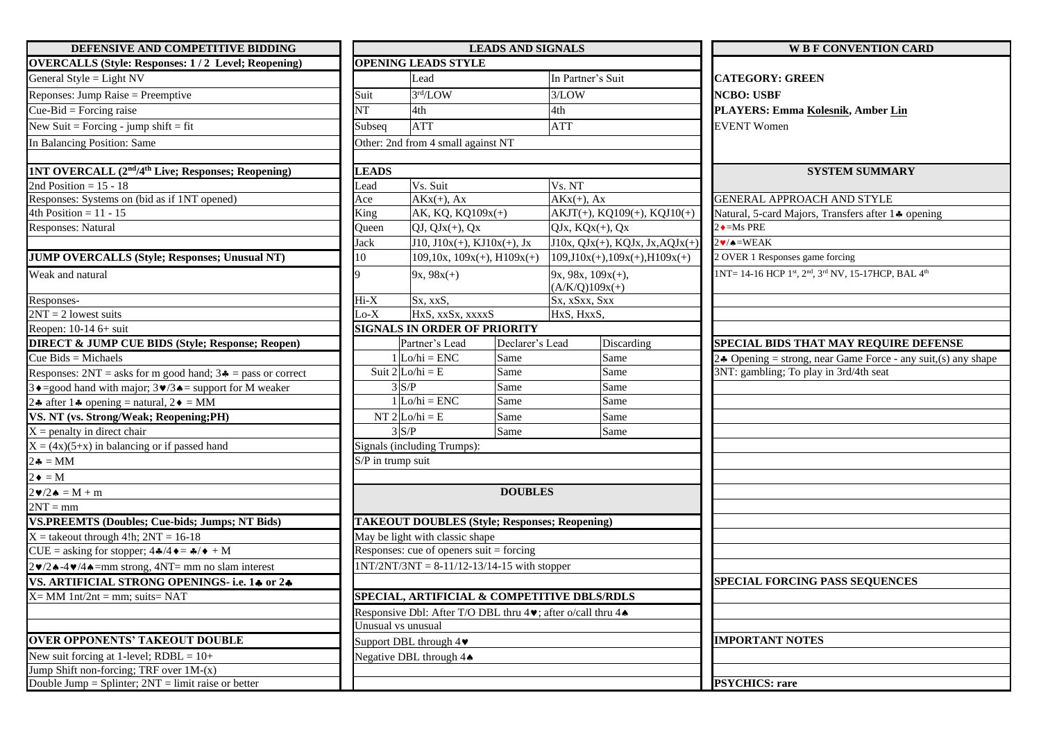| DEFENSIVE AND COMPETITIVE BIDDING                                                                                            | <b>LEADS AND SIGNALS</b>            |                                                                                                      |      |                                        |                                   | <b>W B F CONVENTION CARD</b>                                                            |  |  |  |
|------------------------------------------------------------------------------------------------------------------------------|-------------------------------------|------------------------------------------------------------------------------------------------------|------|----------------------------------------|-----------------------------------|-----------------------------------------------------------------------------------------|--|--|--|
| <b>OVERCALLS (Style: Responses: 1/2 Level; Reopening)</b>                                                                    |                                     | <b>OPENING LEADS STYLE</b>                                                                           |      |                                        |                                   |                                                                                         |  |  |  |
| General Style = Light $NV$                                                                                                   |                                     | Lead                                                                                                 |      | In Partner's Suit                      |                                   | <b>CATEGORY: GREEN</b>                                                                  |  |  |  |
| Reponses: Jump Raise = Preemptive                                                                                            | Suit                                | 3rd/LOW                                                                                              |      | 3/LOW                                  |                                   | <b>NCBO: USBF</b>                                                                       |  |  |  |
| Cue-Bid = Forcing raise                                                                                                      | $\overline{\text{NT}}$              | 4th                                                                                                  |      | 4th                                    |                                   | PLAYERS: Emma Kolesnik, Amber Lin                                                       |  |  |  |
| New Suit = Forcing - jump shift = fit                                                                                        | Subseq                              | <b>ATT</b>                                                                                           |      | <b>ATT</b>                             |                                   | <b>EVENT Women</b>                                                                      |  |  |  |
| In Balancing Position: Same                                                                                                  |                                     | Other: 2nd from 4 small against NT                                                                   |      |                                        |                                   |                                                                                         |  |  |  |
|                                                                                                                              |                                     |                                                                                                      |      |                                        |                                   |                                                                                         |  |  |  |
| 1NT OVERCALL (2 <sup>nd</sup> /4 <sup>th</sup> Live; Responses; Reopening)                                                   | <b>LEADS</b>                        |                                                                                                      |      |                                        |                                   | <b>SYSTEM SUMMARY</b>                                                                   |  |  |  |
| 2nd Position = $15 - 18$                                                                                                     | Lead                                | Vs. Suit                                                                                             |      | Vs. NT                                 |                                   |                                                                                         |  |  |  |
| Responses: Systems on (bid as if 1NT opened)                                                                                 | Ace                                 | $AKx(+), Ax$                                                                                         |      | $AKx(+), Ax$                           |                                   | <b>GENERAL APPROACH AND STYLE</b>                                                       |  |  |  |
| 4th Position = $11 - 15$                                                                                                     | King                                | AK, KQ, KQ109x(+)                                                                                    |      | $AKJT(+)$ , KQ109(+), KQJ10(+)         |                                   | Natural, 5-card Majors, Transfers after 14 opening                                      |  |  |  |
| Responses: Natural                                                                                                           | Queen                               | $QJ, QJx(+), Qx$                                                                                     |      | $QJx, KQx(+), Qx$                      |                                   | $2 \cdot = Ms$ PRE                                                                      |  |  |  |
|                                                                                                                              | <b>Jack</b>                         | $J10, J10x(+), KJ10x(+), Jx$                                                                         |      | $J10x, QJx(+)$ , KQJx, Jx, AQJ $x(+)$  |                                   | $2 \cdot / \triangle = \text{WEAK}$                                                     |  |  |  |
| <b>JUMP OVERCALLS (Style; Responses; Unusual NT)</b>                                                                         | 10                                  | $109, 10x, 109x(+)$ , $H109x(+)$                                                                     |      |                                        | $109, J10x(+), 109x(+), H109x(+)$ | 2 OVER 1 Responses game forcing                                                         |  |  |  |
| Weak and natural                                                                                                             |                                     | $9x, 98x(+)$                                                                                         |      | $9x, 98x, 109x(+)$<br>$(A/K/Q)109x(+)$ |                                   | 1NT= 14-16 HCP 1st, 2 <sup>nd</sup> , 3 <sup>rd</sup> NV, 15-17HCP, BAL 4 <sup>th</sup> |  |  |  |
| Responses-                                                                                                                   | Hi-X                                | Sx, xxS,                                                                                             |      | Sx, xSxx, Sxx                          |                                   |                                                                                         |  |  |  |
| $2NT = 2$ lowest suits                                                                                                       | $Lo-X$                              | HxS, xxSx, xxxxS                                                                                     |      | HxS, HxxS,                             |                                   |                                                                                         |  |  |  |
| Reopen: 10-14 6+ suit                                                                                                        | <b>SIGNALS IN ORDER OF PRIORITY</b> |                                                                                                      |      |                                        |                                   |                                                                                         |  |  |  |
| <b>DIRECT &amp; JUMP CUE BIDS (Style; Response; Reopen)</b>                                                                  |                                     | Partner's Lead<br>Declarer's Lead                                                                    |      |                                        | Discarding                        | SPECIAL BIDS THAT MAY REQUIRE DEFENSE                                                   |  |  |  |
| Cue Bids = Michaels                                                                                                          |                                     | $1$ Lo/hi = ENC<br>Same                                                                              |      |                                        | Same                              | 24 Opening = strong, near Game Force - any suit, (s) any shape                          |  |  |  |
| Responses: $2NT = a$ sks for m good hand; $3\clubsuit = p$ ass or correct                                                    |                                     | Suit $2 Lo/hi = E$<br>Same                                                                           |      |                                        | Same                              | 3NT: gambling; To play in 3rd/4th seat                                                  |  |  |  |
| 3 ♦ = good hand with major; $3 \cdot 3 \cdot 4 =$ support for M weaker                                                       |                                     | $3 \text{ } S/P$                                                                                     | Same |                                        | Same                              |                                                                                         |  |  |  |
| 24 after 14 opening = natural, $2\blacklozenge = MM$                                                                         |                                     | $1$ Lo/hi = ENC<br>Same                                                                              |      |                                        | Same                              |                                                                                         |  |  |  |
| VS. NT (vs. Strong/Weak; Reopening;PH)                                                                                       |                                     | $NT 2 Lo/hi = E$<br>Same                                                                             |      |                                        | Same                              |                                                                                         |  |  |  |
| $X =$ penalty in direct chair                                                                                                |                                     | $3^{\circ}S/P$<br>Same                                                                               |      |                                        | Same                              |                                                                                         |  |  |  |
| $X = (4x)(5+x)$ in balancing or if passed hand                                                                               |                                     | Signals (including Trumps):                                                                          |      |                                        |                                   |                                                                                         |  |  |  |
| $2\clubsuit = MM$                                                                                                            | S/P in trump suit                   |                                                                                                      |      |                                        |                                   |                                                                                         |  |  |  |
| $2 \bullet = M$                                                                                                              |                                     |                                                                                                      |      |                                        |                                   |                                                                                         |  |  |  |
| $2\blacktriangledown/2\blacktriangle = M + m$                                                                                | <b>DOUBLES</b>                      |                                                                                                      |      |                                        |                                   |                                                                                         |  |  |  |
| $2NT = mm$                                                                                                                   |                                     |                                                                                                      |      |                                        |                                   |                                                                                         |  |  |  |
| <b>VS.PREEMTS (Doubles; Cue-bids; Jumps; NT Bids)</b>                                                                        |                                     | <b>TAKEOUT DOUBLES (Style; Responses; Reopening)</b>                                                 |      |                                        |                                   |                                                                                         |  |  |  |
| $X =$ takeout through 4!h; $2NT = 16-18$                                                                                     |                                     | May be light with classic shape                                                                      |      |                                        |                                   |                                                                                         |  |  |  |
| CUE = asking for stopper; $4\cdot/4 \cdot = \cdot /4 \cdot + M$                                                              |                                     | Responses: cue of openers suit = forcing                                                             |      |                                        |                                   |                                                                                         |  |  |  |
| $2\blacktriangleright$ /2 $\blacktriangle$ -4 $\blacktriangleright$ /4 $\blacktriangle$ =mm strong, 4NT= mm no slam interest |                                     | $1NT/2NT/3NT = 8-11/12-13/14-15$ with stopper                                                        |      |                                        |                                   |                                                                                         |  |  |  |
| VS. ARTIFICIAL STRONG OPENINGS- i.e. 14 or 24                                                                                |                                     |                                                                                                      |      |                                        |                                   | SPECIAL FORCING PASS SEQUENCES                                                          |  |  |  |
| $X=MM$ 1nt/2nt = mm; suits= $NAT$                                                                                            |                                     | SPECIAL, ARTIFICIAL & COMPETITIVE DBLS/RDLS                                                          |      |                                        |                                   |                                                                                         |  |  |  |
|                                                                                                                              |                                     | Responsive Dbl: After T/O DBL thru $4\blacktriangleright$ ; after o/call thru $4\blacktriangleright$ |      |                                        |                                   |                                                                                         |  |  |  |
|                                                                                                                              | Unusual vs unusual                  |                                                                                                      |      |                                        |                                   |                                                                                         |  |  |  |
| <b>OVER OPPONENTS' TAKEOUT DOUBLE</b>                                                                                        | Support DBL through 4               |                                                                                                      |      |                                        |                                   | <b>IMPORTANT NOTES</b>                                                                  |  |  |  |
| New suit forcing at 1-level; $RDBL = 10+$                                                                                    | Negative DBL through 4♦             |                                                                                                      |      |                                        |                                   |                                                                                         |  |  |  |
| Jump Shift non-forcing; TRF over 1M-(x)                                                                                      |                                     |                                                                                                      |      |                                        |                                   |                                                                                         |  |  |  |
| Double Jump = Splinter; $2NT =$ limit raise or better                                                                        |                                     |                                                                                                      |      |                                        |                                   | <b>PSYCHICS: rare</b>                                                                   |  |  |  |